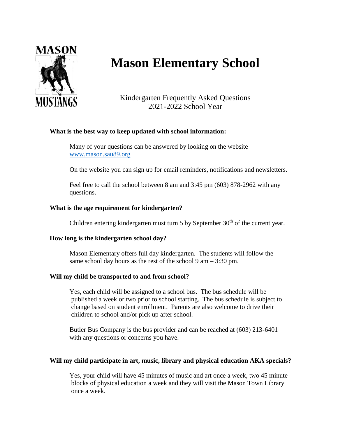

# **Mason Elementary School**

Kindergarten Frequently Asked Questions 2021-2022 School Year

# **What is the best way to keep updated with school information:**

Many of your questions can be answered by looking on the website [www.mason.sau89.org](http://www.mason.sau89.org/)

On the website you can sign up for email reminders, notifications and newsletters.

Feel free to call the school between 8 am and 3:45 pm (603) 878-2962 with any questions.

# **What is the age requirement for kindergarten?**

Children entering kindergarten must turn 5 by September  $30<sup>th</sup>$  of the current year.

### **How long is the kindergarten school day?**

Mason Elementary offers full day kindergarten. The students will follow the same school day hours as the rest of the school  $9 \text{ am} - 3:30 \text{ pm}$ .

### **Will my child be transported to and from school?**

Yes, each child will be assigned to a school bus. The bus schedule will be published a week or two prior to school starting. The bus schedule is subject to change based on student enrollment. Parents are also welcome to drive their children to school and/or pick up after school.

Butler Bus Company is the bus provider and can be reached at (603) 213-6401 with any questions or concerns you have.

### **Will my child participate in art, music, library and physical education AKA specials?**

Yes, your child will have 45 minutes of music and art once a week, two 45 minute blocks of physical education a week and they will visit the Mason Town Library once a week.